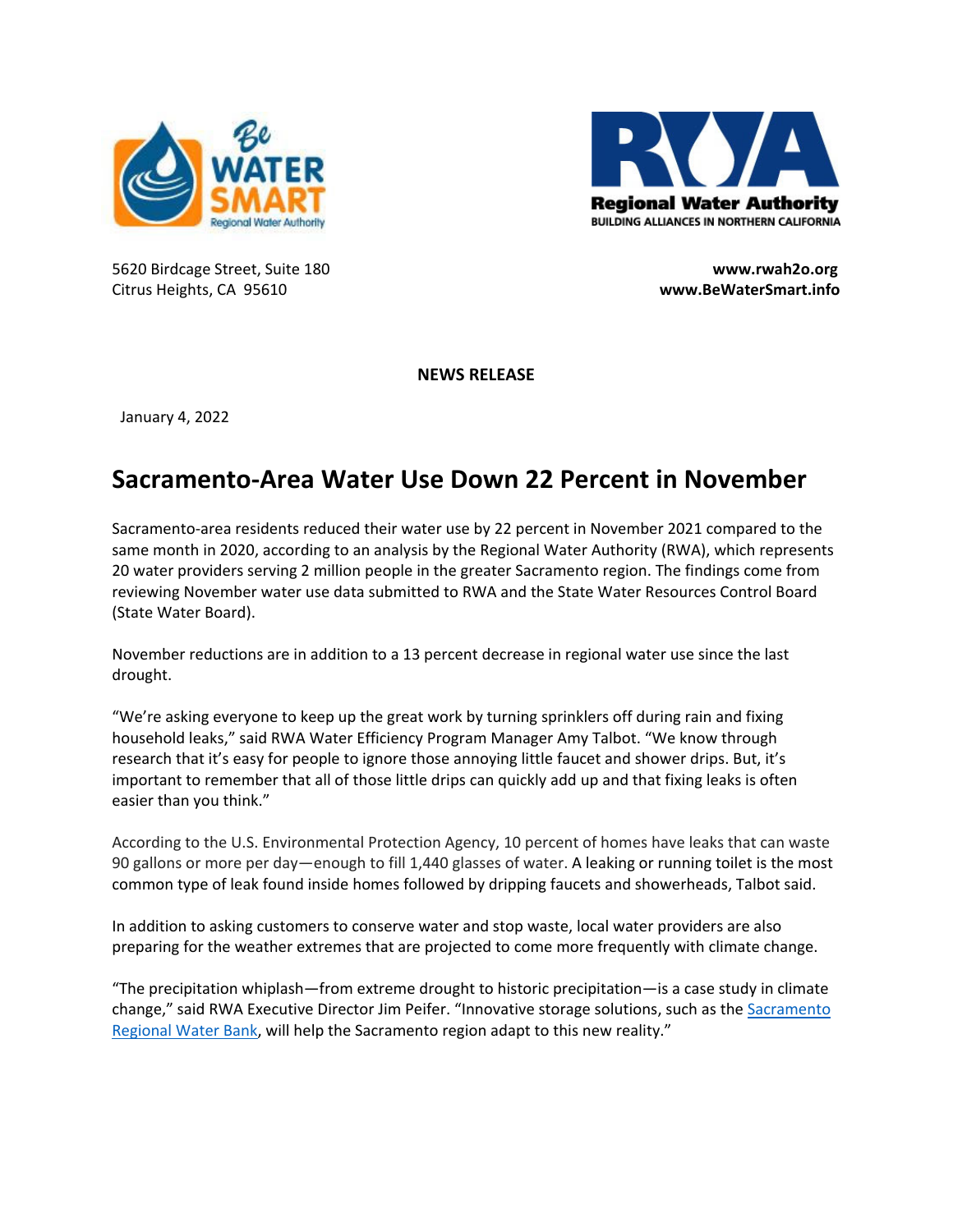



5620 Birdcage Street, Suite 180 **www.rwah2o.org** Citrus Heights, CA 95610 **www.BeWaterSmart.info**

**NEWS RELEASE**

January 4, 2022

## **Sacramento‐Area Water Use Down 22 Percent in November**

Sacramento‐area residents reduced their water use by 22 percent in November 2021 compared to the same month in 2020, according to an analysis by the Regional Water Authority (RWA), which represents 20 water providers serving 2 million people in the greater Sacramento region. The findings come from reviewing November water use data submitted to RWA and the State Water Resources Control Board (State Water Board).

November reductions are in addition to a 13 percent decrease in regional water use since the last drought.

"We're asking everyone to keep up the great work by turning sprinklers off during rain and fixing household leaks," said RWA Water Efficiency Program Manager Amy Talbot. "We know through research that it's easy for people to ignore those annoying little faucet and shower drips. But, it's important to remember that all of those little drips can quickly add up and that fixing leaks is often easier than you think."

According to the U.S. Environmental Protection Agency, 10 percent of homes have leaks that can waste 90 gallons or more per day—enough to fill 1,440 glasses of water. A leaking or running toilet is the most common type of leak found inside homes followed by dripping faucets and showerheads, Talbot said.

In addition to asking customers to conserve water and stop waste, local water providers are also preparing for the weather extremes that are projected to come more frequently with climate change.

"The precipitation whiplash—from extreme drought to historic precipitation—is a case study in climate change," said RWA Executive Director Jim Peifer. "Innovative storage solutions, such as the Sacramento Regional Water Bank, will help the Sacramento region adapt to this new reality."